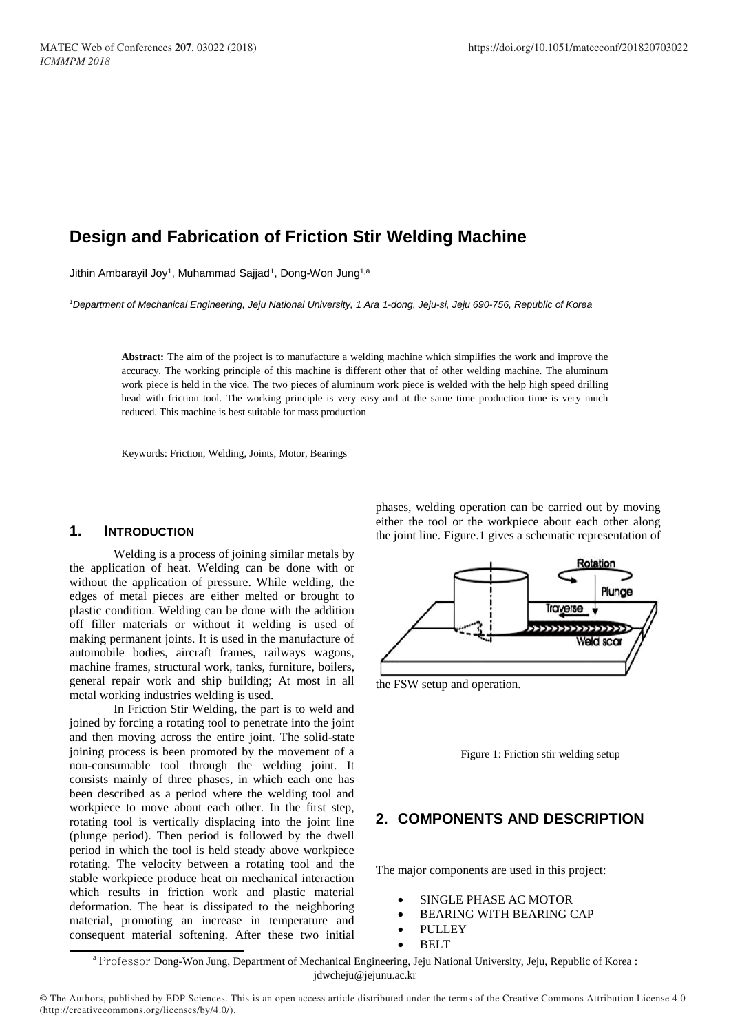# **Design and Fabrication of Friction Stir Welding Machine**

Jithin Ambarayil Joy<sup>1</sup>, Muhammad Sajjad<sup>1</sup>, Dong-Won Jung<sup>1,a</sup>

*<sup>1</sup>Department of Mechanical Engineering, Jeju National University, 1 Ara 1-dong, Jeju-si, Jeju 690-756, Republic of Korea*

**Abstract:** The aim of the project is to manufacture a welding machine which simplifies the work and improve the accuracy. The working principle of this machine is different other that of other welding machine. The aluminum work piece is held in the vice. The two pieces of aluminum work piece is welded with the help high speed drilling head with friction tool. The working principle is very easy and at the same time production time is very much reduced. This machine is best suitable for mass production

Keywords: Friction, Welding, Joints, Motor, Bearings

### **1. INTRODUCTION**

Welding is a process of joining similar metals by the application of heat. Welding can be done with or without the application of pressure. While welding, the edges of metal pieces are either melted or brought to plastic condition. Welding can be done with the addition off filler materials or without it welding is used of making permanent joints. It is used in the manufacture of automobile bodies, aircraft frames, railways wagons, machine frames, structural work, tanks, furniture, boilers, general repair work and ship building; At most in all metal working industries welding is used.

In Friction Stir Welding, the part is to weld and joined by forcing a rotating tool to penetrate into the joint and then moving across the entire joint. The solid-state joining process is been promoted by the movement of a non-consumable tool through the welding joint. It consists mainly of three phases, in which each one has been described as a period where the welding tool and workpiece to move about each other. In the first step, rotating tool is vertically displacing into the joint line (plunge period). Then period is followed by the dwell period in which the tool is held steady above workpiece rotating. The velocity between a rotating tool and the stable workpiece produce heat on mechanical interaction which results in friction work and plastic material deformation. The heat is dissipated to the neighboring material, promoting an increase in temperature and consequent material softening. After these two initial

phases, welding operation can be carried out by moving either the tool or the workpiece about each other along the joint line. Figure.1 gives a schematic representation of



the FSW setup and operation.

Figure 1: Friction stir welding setup

### **2. COMPONENTS AND DESCRIPTION**

The major components are used in this project:

- SINGLE PHASE AC MOTOR
- BEARING WITH BEARING CAP
- PULLEY
- BELT

<sup>a</sup> Professor Dong-Won Jung, Department of Mechanical Engineering, Jeju National University, Jeju, Republic of Korea : jdwcheju@jejunu.ac.kr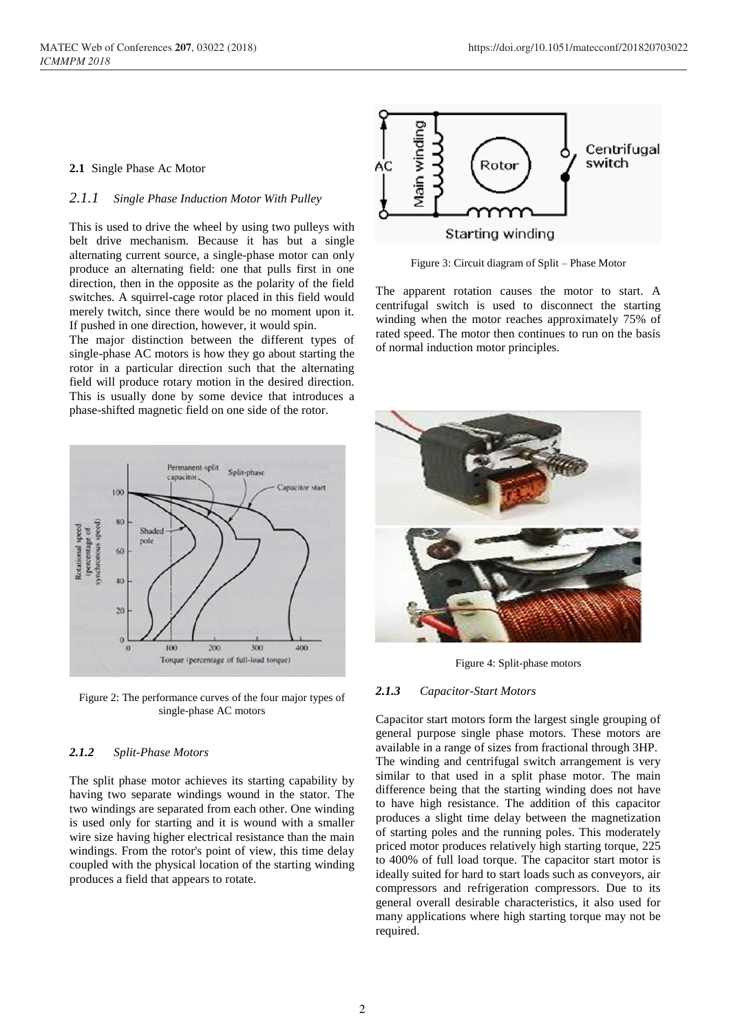#### **2.1** Single Phase Ac Motor

#### *2.1.1 Single Phase Induction Motor With Pulley*

This is used to drive the wheel by using two pulleys with belt drive mechanism. Because it has but a single alternating current source, a single-phase motor can only produce an alternating field: one that pulls first in one direction, then in the opposite as the polarity of the field switches. A squirrel-cage rotor placed in this field would merely twitch, since there would be no moment upon it. If pushed in one direction, however, it would spin.

The major distinction between the different types of single-phase AC motors is how they go about starting the rotor in a particular direction such that the alternating field will produce rotary motion in the desired direction. This is usually done by some device that introduces a phase-shifted magnetic field on one side of the rotor.



Figure 2: The performance curves of the four major types of single-phase AC motors

#### *2.1.2 Split-Phase Motors*

The split phase motor achieves its starting capability by having two separate windings wound in the stator. The two windings are separated from each other. One winding is used only for starting and it is wound with a smaller wire size having higher electrical resistance than the main windings. From the rotor's point of view, this time delay coupled with the physical location of the starting winding produces a field that appears to rotate.



Figure 3: Circuit diagram of Split – Phase Motor

The apparent rotation causes the motor to start. A centrifugal switch is used to disconnect the starting winding when the motor reaches approximately 75% of rated speed. The motor then continues to run on the basis of normal induction motor principles.



Figure 4: Split-phase motors

#### *2.1.3 Capacitor-Start Motors*

Capacitor start motors form the largest single grouping of general purpose single phase motors. These motors are available in a range of sizes from fractional through 3HP. The winding and centrifugal switch arrangement is very similar to that used in a split phase motor. The main difference being that the starting winding does not have to have high resistance. The addition of this capacitor produces a slight time delay between the magnetization of starting poles and the running poles. This moderately priced motor produces relatively high starting torque, 225 to 400% of full load torque. The capacitor start motor is ideally suited for hard to start loads such as conveyors, air compressors and refrigeration compressors. Due to its general overall desirable characteristics, it also used for many applications where high starting torque may not be required.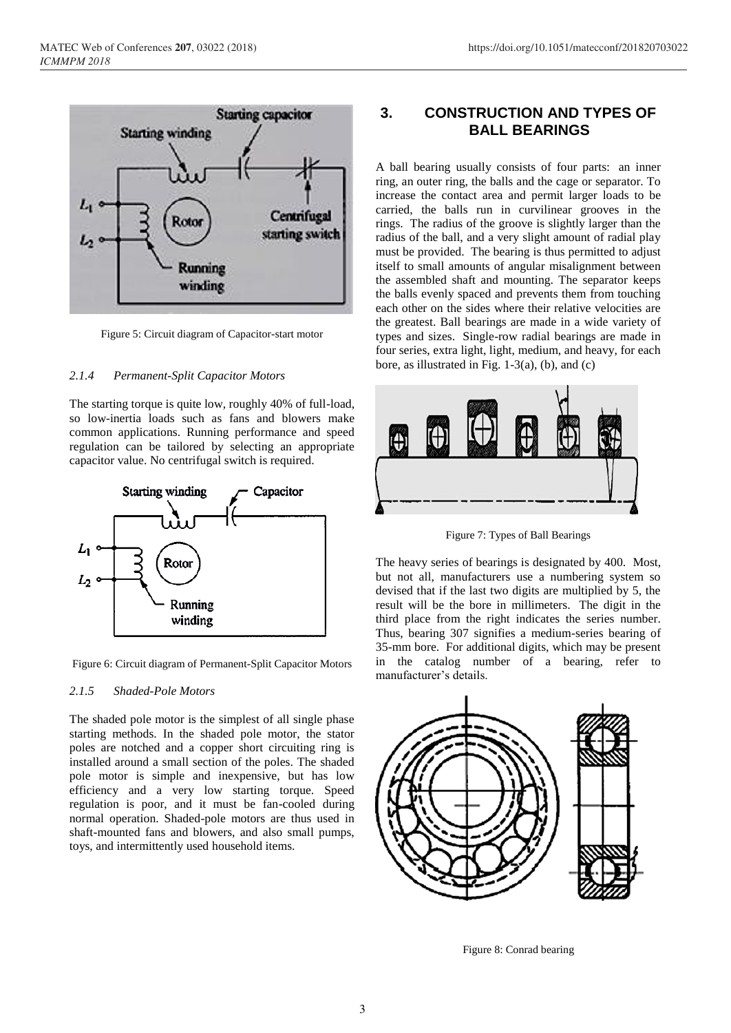

Figure 5: Circuit diagram of Capacitor-start motor

#### *2.1.4 Permanent-Split Capacitor Motors*

The starting torque is quite low, roughly 40% of full-load, so low-inertia loads such as fans and blowers make common applications. Running performance and speed regulation can be tailored by selecting an appropriate capacitor value. No centrifugal switch is required.



Figure 6: Circuit diagram of Permanent-Split Capacitor Motors

#### *2.1.5 Shaded-Pole Motors*

The shaded pole motor is the simplest of all single phase starting methods. In the shaded pole motor, the stator poles are notched and a copper short circuiting ring is installed around a small section of the poles. The shaded pole motor is simple and inexpensive, but has low efficiency and a very low starting torque. Speed regulation is poor, and it must be fan-cooled during normal operation. Shaded-pole motors are thus used in shaft-mounted fans and blowers, and also small pumps, toys, and intermittently used household items.

## **3. CONSTRUCTION AND TYPES OF BALL BEARINGS**

A ball bearing usually consists of four parts: an inner ring, an outer ring, the balls and the cage or separator. To increase the contact area and permit larger loads to be carried, the balls run in curvilinear grooves in the rings. The radius of the groove is slightly larger than the radius of the ball, and a very slight amount of radial play must be provided. The bearing is thus permitted to adjust itself to small amounts of angular misalignment between the assembled shaft and mounting. The separator keeps the balls evenly spaced and prevents them from touching each other on the sides where their relative velocities are the greatest. Ball bearings are made in a wide variety of types and sizes. Single-row radial bearings are made in four series, extra light, light, medium, and heavy, for each bore, as illustrated in Fig.  $1-3(a)$ , (b), and (c)



Figure 7: Types of Ball Bearings

The heavy series of bearings is designated by 400. Most, but not all, manufacturers use a numbering system so devised that if the last two digits are multiplied by 5, the result will be the bore in millimeters. The digit in the third place from the right indicates the series number. Thus, bearing 307 signifies a medium-series bearing of 35-mm bore. For additional digits, which may be present in the catalog number of a bearing, refer to manufacturer's details.



Figure 8: Conrad bearing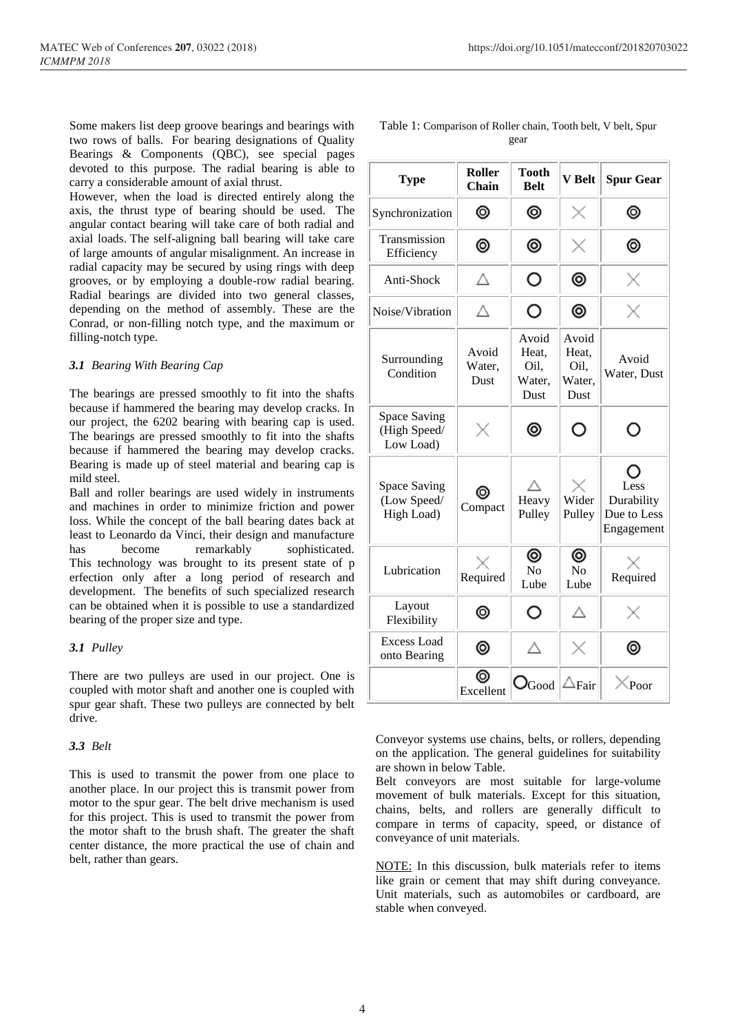Some makers list deep groove bearings and bearings with two rows of balls. For bearing designations of Quality Bearings & Components (QBC), see special pages devoted to this purpose. The radial bearing is able to carry a considerable amount of axial thrust.

However, when the load is directed entirely along the axis, the thrust type of bearing should be used. The angular contact bearing will take care of both radial and axial loads. The self-aligning ball bearing will take care of large amounts of angular misalignment. An increase in radial capacity may be secured by using rings with deep grooves, or by employing a double-row radial bearing. Radial bearings are divided into two general classes, depending on the method of assembly. These are the Conrad, or non-filling notch type, and the maximum or filling-notch type.

#### *3.1 Bearing With Bearing Cap*

The bearings are pressed smoothly to fit into the shafts because if hammered the bearing may develop cracks. In our project, the 6202 bearing with bearing cap is used. The bearings are pressed smoothly to fit into the shafts because if hammered the bearing may develop cracks. Bearing is made up of steel material and bearing cap is mild steel.

Ball and roller bearings are used widely in instruments and machines in order to minimize friction and power loss. While the concept of the ball bearing dates back at least to Leonardo da Vinci, their design and manufacture has become remarkably sophisticated. This technology was brought to its present state of p erfection only after a long period of research and development. The benefits of such specialized research can be obtained when it is possible to use a standardized bearing of the proper size and type.

### *3.1 Pulley*

There are two pulleys are used in our project. One is coupled with motor shaft and another one is coupled with spur gear shaft. These two pulleys are connected by belt drive.

#### *3.3 Belt*

This is used to transmit the power from one place to another place. In our project this is transmit power from motor to the spur gear. The belt drive mechanism is used for this project. This is used to transmit the power from the motor shaft to the brush shaft. The greater the shaft center distance, the more practical the use of chain and belt, rather than gears.

| https://doi.org/10.1051/matecconf/201820703022 |
|------------------------------------------------|
|------------------------------------------------|

| <b>Type</b>                                      | Roller<br>Chain         | <b>Tooth</b><br><b>Belt</b>              | <b>V</b> Belt                            | <b>Spur Gear</b>                                |
|--------------------------------------------------|-------------------------|------------------------------------------|------------------------------------------|-------------------------------------------------|
| Synchronization                                  | ⊚                       | ⊚                                        | X                                        | ⊚                                               |
| Transmission<br>Efficiency                       | ⊚                       | ⊚                                        | ×                                        | ⊚                                               |
| Anti-Shock                                       | Δ                       | O                                        | ⊚                                        | ×                                               |
| Noise/Vibration                                  | Δ                       | O                                        | ⊚                                        |                                                 |
| Surrounding<br>Condition                         | Avoid<br>Water.<br>Dust | Avoid<br>Heat,<br>Oil.<br>Water,<br>Dust | Avoid<br>Heat,<br>Oil.<br>Water,<br>Dust | Avoid<br>Water, Dust                            |
| <b>Space Saving</b><br>(High Speed/<br>Low Load) |                         | ⊚                                        | $\bigcirc$                               |                                                 |
| <b>Space Saving</b><br>(Low Speed/<br>High Load) | Compact                 | Heavy<br>Pulley                          | Wider<br>Pulley                          | Less<br>Durability<br>Due to Less<br>Engagement |
| Lubrication                                      | Required                | 0<br>N <sub>o</sub><br>Lube              | ⊚<br>N <sub>o</sub><br>Lube              | Required                                        |
| Layout<br>Flexibility                            | ⊚                       | O                                        | Δ                                        | ×                                               |
| <b>Excess Load</b><br>onto Bearing               | ⊚                       | Δ                                        |                                          | ⊚                                               |
|                                                  | ര<br>Excellent          | <sup>J</sup> Good                        | ⊾Fair                                    | P <sub>oor</sub>                                |

Table 1: Comparison of Roller chain, Tooth belt, V belt, Spur gear

Conveyor systems use chains, belts, or rollers, depending on the application. The general guidelines for suitability are shown in below Table.

Belt conveyors are most suitable for large-volume movement of bulk materials. Except for this situation, chains, belts, and rollers are generally difficult to compare in terms of capacity, speed, or distance of conveyance of unit materials.

NOTE: In this discussion, bulk materials refer to items like grain or cement that may shift during conveyance. Unit materials, such as automobiles or cardboard, are stable when conveyed.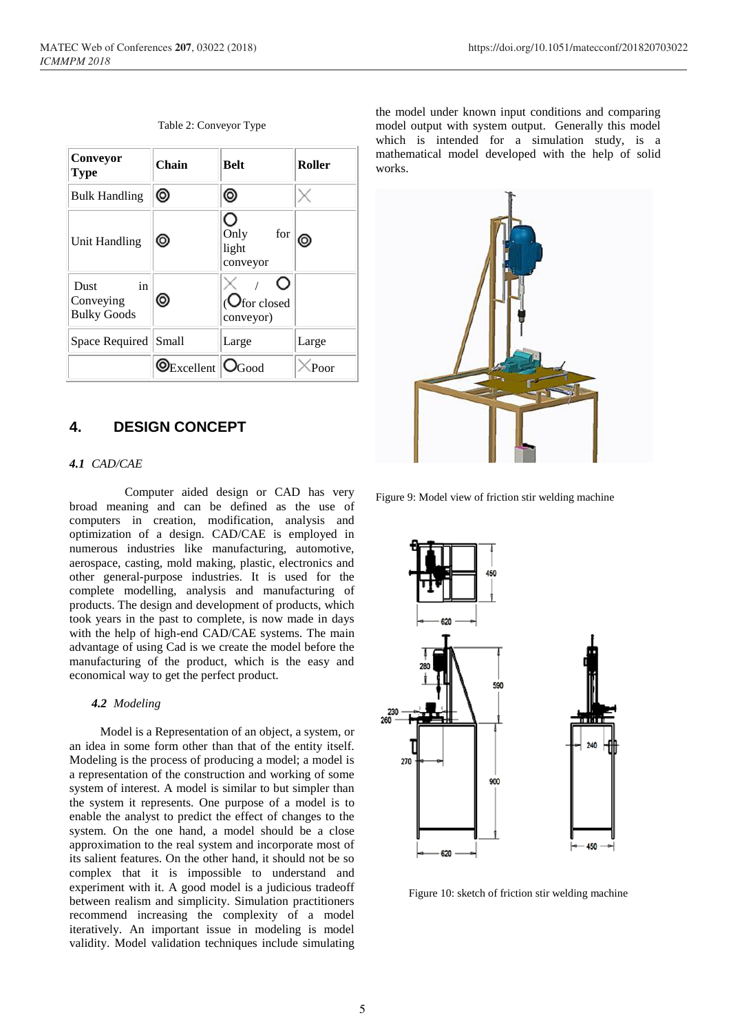|  | Table 2: Conveyor Type |
|--|------------------------|
|--|------------------------|

| Conveyor<br><b>Type</b>                       | <b>Chain</b>                    | <b>Belt</b>                                    | Roller |
|-----------------------------------------------|---------------------------------|------------------------------------------------|--------|
| <b>Bulk Handling</b>                          | ⊚                               | 0                                              |        |
| <b>Unit Handling</b>                          | ⊚                               | Only<br>for<br>light<br>conveyor               | ⊚      |
| in<br>Dust<br>Conveying<br><b>Bulky Goods</b> | ⊚                               | $\mathcal{J}_{\text{for closed}}$<br>conveyor) |        |
| Space Required Small                          |                                 | Large                                          | Large  |
|                                               | $\mathbf{p}_{\text{Excellent}}$ | Good                                           |        |

### **4. DESIGN CONCEPT**

#### *4.1 CAD/CAE*

 Computer aided design or CAD has very broad meaning and can be defined as the use of computers in creation, modification, analysis and optimization of a design. CAD/CAE is employed in numerous industries like manufacturing, automotive, aerospace, casting, mold making, plastic, electronics and other general-purpose industries. It is used for the complete modelling, analysis and manufacturing of products. The design and development of products, which took years in the past to complete, is now made in days with the help of high-end CAD/CAE systems. The main advantage of using Cad is we create the model before the manufacturing of the product, which is the easy and economical way to get the perfect product.

#### *4.2 Modeling*

 Model is a Representation of an object, a system, or an idea in some form other than that of the entity itself. Modeling is the process of producing a model; a model is a representation of the construction and working of some system of interest. A model is similar to but simpler than the system it represents. One purpose of a model is to enable the analyst to predict the effect of changes to the system. On the one hand, a model should be a close approximation to the real system and incorporate most of its salient features. On the other hand, it should not be so complex that it is impossible to understand and experiment with it. A good model is a judicious tradeoff between realism and simplicity. Simulation practitioners recommend increasing the complexity of a model iteratively. An important issue in modeling is model validity. Model validation techniques include simulating

the model under known input conditions and comparing model output with system output. Generally this model which is intended for a simulation study, is a mathematical model developed with the help of solid works.



Figure 9: Model view of friction stir welding machine



Figure 10: sketch of friction stir welding machine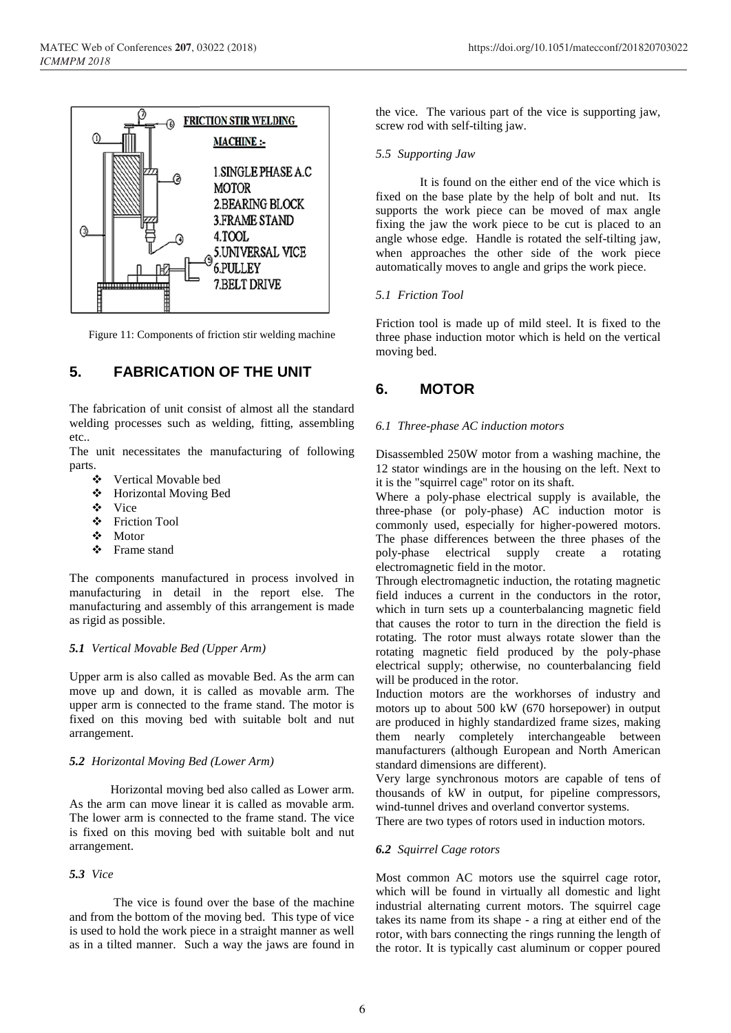

Figure 11: Components of friction stir welding machine

## **5. FABRICATION OF THE UNIT**

The fabrication of unit consist of almost all the standard welding processes such as welding, fitting, assembling etc..

The unit necessitates the manufacturing of following parts.

- ❖ Vertical Movable bed
- ❖ Horizontal Moving Bed
- ❖ Vice
- ❖ Friction Tool
- ❖ Motor
- ❖ Frame stand

The components manufactured in process involved in manufacturing in detail in the report else. The manufacturing and assembly of this arrangement is made as rigid as possible.

#### *5.1 Vertical Movable Bed (Upper Arm)*

Upper arm is also called as movable Bed. As the arm can move up and down, it is called as movable arm. The upper arm is connected to the frame stand. The motor is fixed on this moving bed with suitable bolt and nut arrangement.

#### *5.2 Horizontal Moving Bed (Lower Arm)*

Horizontal moving bed also called as Lower arm. As the arm can move linear it is called as movable arm. The lower arm is connected to the frame stand. The vice is fixed on this moving bed with suitable bolt and nut arrangement.

#### *5.3 Vice*

The vice is found over the base of the machine and from the bottom of the moving bed. This type of vice is used to hold the work piece in a straight manner as well as in a tilted manner. Such a way the jaws are found in the vice. The various part of the vice is supporting jaw, screw rod with self-tilting jaw.

#### *5.5 Supporting Jaw*

It is found on the either end of the vice which is fixed on the base plate by the help of bolt and nut. Its supports the work piece can be moved of max angle fixing the jaw the work piece to be cut is placed to an angle whose edge. Handle is rotated the self-tilting jaw, when approaches the other side of the work piece automatically moves to angle and grips the work piece.

#### *5.1 Friction Tool*

Friction tool is made up of mild steel. It is fixed to the three phase induction motor which is held on the vertical moving bed.

### **6. MOTOR**

#### *6.1 Three-phase AC induction motors*

Disassembled 250W motor from a washing machine, the 12 stator windings are in the housing on the left. Next to it is the "squirrel cage" rotor on its shaft.

Where a poly-phase electrical supply is available, the three-phase (or poly-phase) AC induction motor is commonly used, especially for higher-powered motors. The phase differences between the three phases of the poly-phase electrical supply create a rotating electromagnetic field in the motor.

Through electromagnetic induction, the rotating magnetic field induces a current in the conductors in the rotor, which in turn sets up a counterbalancing magnetic field that causes the rotor to turn in the direction the field is rotating. The rotor must always rotate slower than the rotating magnetic field produced by the poly-phase electrical supply; otherwise, no counterbalancing field will be produced in the rotor.

Induction motors are the workhorses of industry and motors up to about 500 kW (670 horsepower) in output are produced in highly standardized frame sizes, making them nearly completely interchangeable between manufacturers (although European and North American standard dimensions are different).

Very large synchronous motors are capable of tens of thousands of kW in output, for pipeline compressors, wind-tunnel drives and overland convertor systems.

There are two types of rotors used in induction motors.

#### *6.2 Squirrel Cage rotors*

Most common AC motors use the squirrel cage rotor, which will be found in virtually all domestic and light industrial alternating current motors. The squirrel cage takes its name from its shape - a ring at either end of the rotor, with bars connecting the rings running the length of the rotor. It is typically cast aluminum or copper poured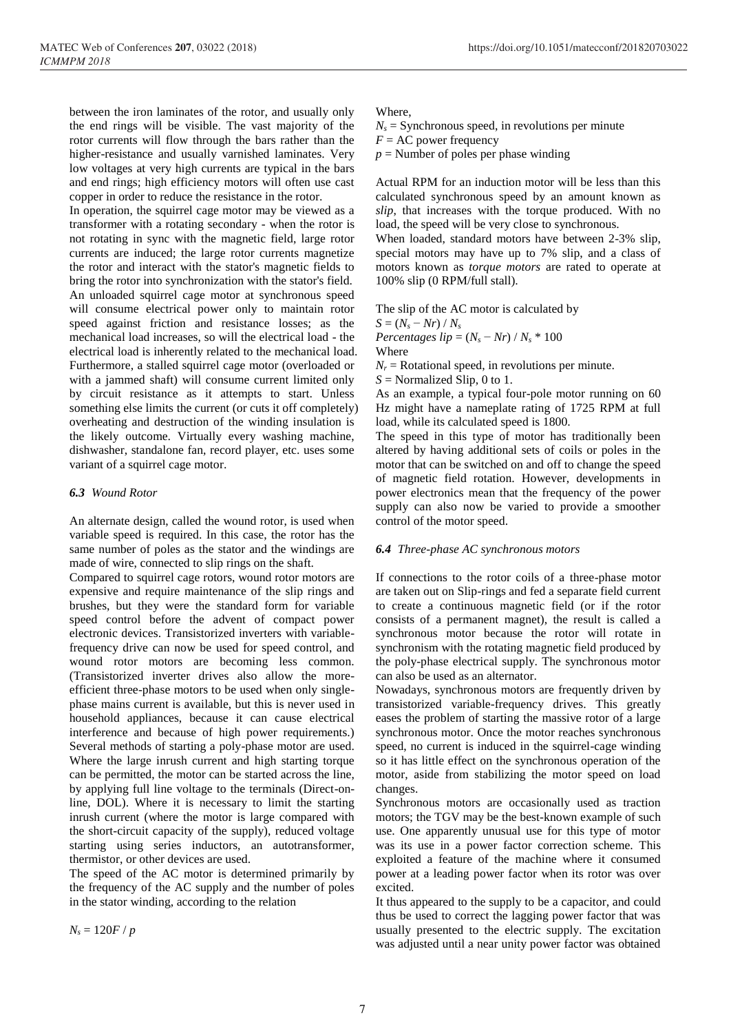In operation, the squirrel cage motor may be viewed as a transformer with a rotating secondary - when the rotor is not rotating in sync with the magnetic field, large rotor currents are induced; the large rotor currents magnetize the rotor and interact with the stator's magnetic fields to bring the rotor into synchronization with the stator's field. An unloaded squirrel cage motor at synchronous speed will consume electrical power only to maintain rotor speed against friction and resistance losses; as the mechanical load increases, so will the electrical load - the electrical load is inherently related to the mechanical load. Furthermore, a stalled squirrel cage motor (overloaded or with a jammed shaft) will consume current limited only by circuit resistance as it attempts to start. Unless something else limits the current (or cuts it off completely) overheating and destruction of the winding insulation is the likely outcome. Virtually every washing machine, dishwasher, standalone fan, record player, etc. uses some variant of a squirrel cage motor.

#### *6.3 Wound Rotor*

An alternate design, called the wound rotor, is used when variable speed is required. In this case, the rotor has the same number of poles as the stator and the windings are made of wire, connected to slip rings on the shaft.

Compared to squirrel cage rotors, wound rotor motors are expensive and require maintenance of the slip rings and brushes, but they were the standard form for variable speed control before the advent of compact power electronic devices. Transistorized inverters with variablefrequency drive can now be used for speed control, and wound rotor motors are becoming less common. (Transistorized inverter drives also allow the moreefficient three-phase motors to be used when only singlephase mains current is available, but this is never used in household appliances, because it can cause electrical interference and because of high power requirements.) Several methods of starting a poly-phase motor are used. Where the large inrush current and high starting torque can be permitted, the motor can be started across the line, by applying full line voltage to the terminals (Direct-online, DOL). Where it is necessary to limit the starting inrush current (where the motor is large compared with the short-circuit capacity of the supply), reduced voltage starting using series inductors, an autotransformer, thermistor, or other devices are used.

The speed of the AC motor is determined primarily by the frequency of the AC supply and the number of poles in the stator winding, according to the relation

 $N_s = 120F / p$ 

#### Where,

 $N_s$  = Synchronous speed, in revolutions per minute  $F = AC$  power frequency

 $p =$ Number of poles per phase winding

Actual RPM for an induction motor will be less than this calculated synchronous speed by an amount known as *slip*, that increases with the torque produced. With no load, the speed will be very close to synchronous.

When loaded, standard motors have between 2-3% slip, special motors may have up to 7% slip, and a class of motors known as *torque motors* are rated to operate at 100% slip (0 RPM/full stall).

The slip of the AC motor is calculated by

 $S = (N_s - Nr) / N_s$ *Percentages*  $lip = (N_s - Nr) / N_s * 100$ 

Where  $N_r$  = Rotational speed, in revolutions per minute.

*S* = Normalized Slip, 0 to 1.

As an example, a typical four-pole motor running on 60 Hz might have a nameplate rating of 1725 RPM at full load, while its calculated speed is 1800.

The speed in this type of motor has traditionally been altered by having additional sets of coils or poles in the motor that can be switched on and off to change the speed of magnetic field rotation. However, developments in power electronics mean that the frequency of the power supply can also now be varied to provide a smoother control of the motor speed.

### *6.4 Three-phase AC synchronous motors*

If connections to the rotor coils of a three-phase motor are taken out on Slip-rings and fed a separate field current to create a continuous magnetic field (or if the rotor consists of a permanent magnet), the result is called a synchronous motor because the rotor will rotate in synchronism with the rotating magnetic field produced by the poly-phase electrical supply. The synchronous motor can also be used as an alternator.

Nowadays, synchronous motors are frequently driven by transistorized variable-frequency drives. This greatly eases the problem of starting the massive rotor of a large synchronous motor. Once the motor reaches synchronous speed, no current is induced in the squirrel-cage winding so it has little effect on the synchronous operation of the motor, aside from stabilizing the motor speed on load changes.

Synchronous motors are occasionally used as traction motors; the TGV may be the best-known example of such use. One apparently unusual use for this type of motor was its use in a power factor correction scheme. This exploited a feature of the machine where it consumed power at a leading power factor when its rotor was over excited.

It thus appeared to the supply to be a capacitor, and could thus be used to correct the lagging power factor that was usually presented to the electric supply. The excitation was adjusted until a near unity power factor was obtained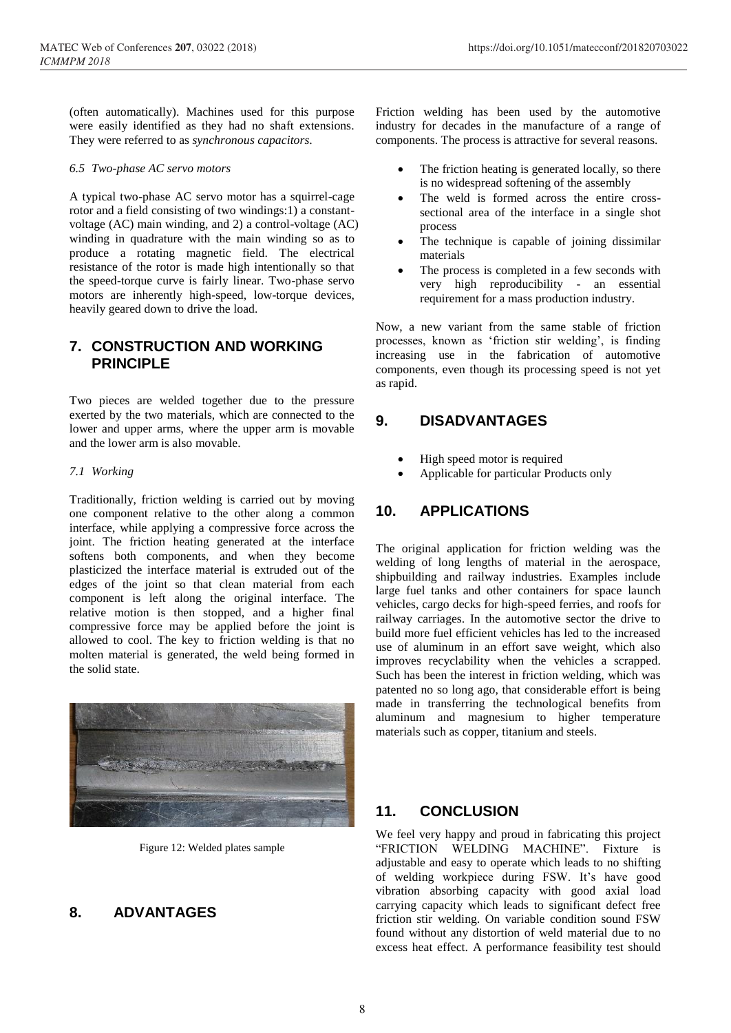(often automatically). Machines used for this purpose were easily identified as they had no shaft extensions. They were referred to as *synchronous capacitors*.

#### *6.5 Two-phase AC servo motors*

A typical two-phase AC servo motor has a squirrel-cage rotor and a field consisting of two windings:1) a constantvoltage (AC) main winding, and 2) a control-voltage (AC) winding in quadrature with the main winding so as to produce a rotating magnetic field. The electrical resistance of the rotor is made high intentionally so that the speed-torque curve is fairly linear. Two-phase servo motors are inherently high-speed, low-torque devices, heavily geared down to drive the load.

### **7. CONSTRUCTION AND WORKING PRINCIPLE**

Two pieces are welded together due to the pressure exerted by the two materials, which are connected to the lower and upper arms, where the upper arm is movable and the lower arm is also movable.

### *7.1 Working*

Traditionally, friction welding is carried out by moving one component relative to the other along a common interface, while applying a compressive force across the joint. The friction heating generated at the interface softens both components, and when they become plasticized the interface material is extruded out of the edges of the joint so that clean material from each component is left along the original interface. The relative motion is then stopped, and a higher final compressive force may be applied before the joint is allowed to cool. The key to friction welding is that no molten material is generated, the weld being formed in the solid state.



Figure 12: Welded plates sample

## **8. ADVANTAGES**

Friction welding has been used by the automotive industry for decades in the manufacture of a range of components. The process is attractive for several reasons.

- The friction heating is generated locally, so there is no widespread softening of the assembly
- The weld is formed across the entire crosssectional area of the interface in a single shot process
- The technique is capable of joining dissimilar materials
- The process is completed in a few seconds with very high reproducibility - an essential requirement for a mass production industry.

Now, a new variant from the same stable of friction processes, known as 'friction stir welding', is finding increasing use in the fabrication of automotive components, even though its processing speed is not yet as rapid.

## **9. DISADVANTAGES**

- High speed motor is required
- Applicable for particular Products only

## **10. APPLICATIONS**

The original application for friction welding was the welding of long lengths of material in the aerospace, shipbuilding and railway industries. Examples include large fuel tanks and other containers for space launch vehicles, cargo decks for high-speed ferries, and roofs for railway carriages. In the automotive sector the drive to build more fuel efficient vehicles has led to the increased use of aluminum in an effort save weight, which also improves recyclability when the vehicles a scrapped. Such has been the interest in friction welding, which was patented no so long ago, that considerable effort is being made in transferring the technological benefits from aluminum and magnesium to higher temperature materials such as copper, titanium and steels.

## **11. CONCLUSION**

We feel very happy and proud in fabricating this project "FRICTION WELDING MACHINE". Fixture is adjustable and easy to operate which leads to no shifting of welding workpiece during FSW. It's have good vibration absorbing capacity with good axial load carrying capacity which leads to significant defect free friction stir welding. On variable condition sound FSW found without any distortion of weld material due to no excess heat effect. A performance feasibility test should